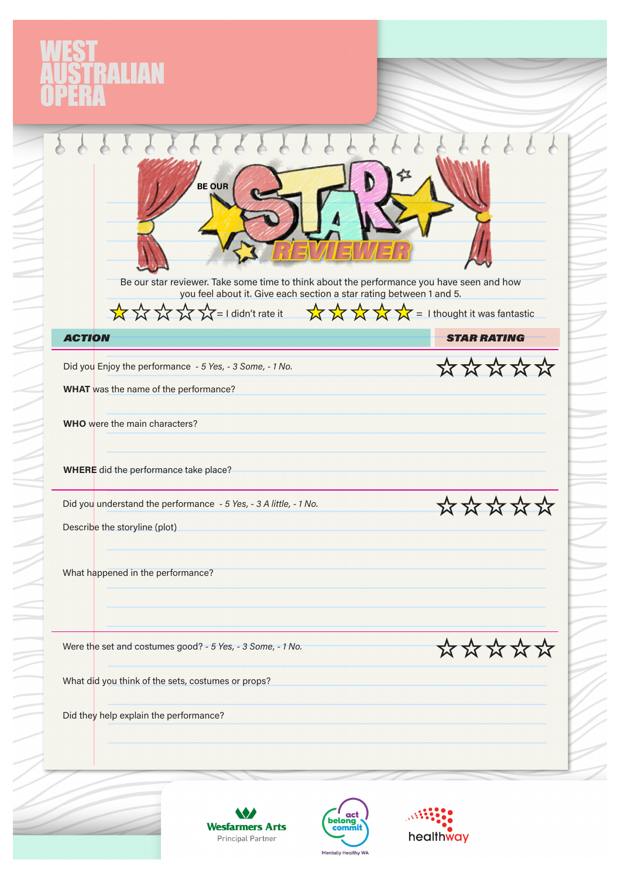## VEST<br>|USTRALIAN<br>|PERA

|               | <b>BE OUR</b><br>Be our star reviewer. Take some time to think about the performance you have seen and how<br>you feel about it. Give each section a star rating between 1 and 5. |                    |
|---------------|-----------------------------------------------------------------------------------------------------------------------------------------------------------------------------------|--------------------|
|               | XXXXX=I didn't rate it XXXXX = I thought it was fantastic                                                                                                                         |                    |
| <b>ACTION</b> |                                                                                                                                                                                   | <b>STAR RATING</b> |
|               | Did you Enjoy the performance - 5 Yes, - 3 Some, - 1 No.                                                                                                                          | *****              |
|               | WHAT was the name of the performance?                                                                                                                                             |                    |
|               | WHO were the main characters?                                                                                                                                                     |                    |
|               | WHERE did the performance take place?                                                                                                                                             |                    |
|               | Did you understand the performance - 5 Yes, - 3 A little, - 1 No.                                                                                                                 | ****               |
|               | Describe the storyline (plot)                                                                                                                                                     |                    |
|               | What happened in the performance?                                                                                                                                                 |                    |
|               | Were the set and costumes good? - 5 Yes, - 3 Some, - 1 No.                                                                                                                        | *****              |
|               | What did you think of the sets, costumes or props?                                                                                                                                |                    |
|               |                                                                                                                                                                                   |                    |







 $\equiv$ 

A<br>A